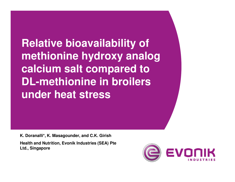**Relative bioavailability of methionine hydroxy analog calcium salt compared to DL-methionine in broilers under heat stress** 

**K. Doranalli\*, K. Masagounder, and C.K. Girish**

**Health and Nutrition, Evonik Industries (SEA) Pte Ltd., Singapore**

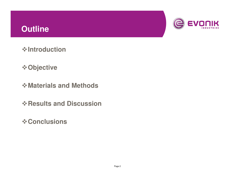# **Outline**



**Introduction**

- **Objective**
- **Materials and Methods**
- **Results and Discussion**
- **☆ Conclusions**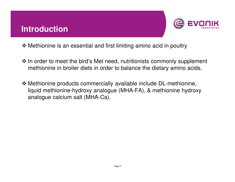### **Introduction**



- Methionine is an essential and first limiting amino acid in poultry
- In order to meet the bird's Met need, nutritionists commonly supplement<br>mothioning in broiler digts in erder to balance the digtary amine acids methionine in broiler diets in order to balance the dietary amino acids.
- Methionine products commercially available include DL-methionine,<br>liquid methionine bydroxy analogue (MHA EA), & methionine bydroxy liquid methionine-hydroxy analogue (MHA-FA), & methionine hydroxy analogue calcium salt (MHA-Ca).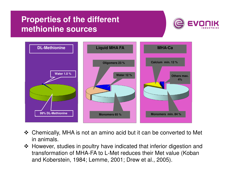# **Properties of the different methionine sources**





- \* Chemically, MHA is not an amino acid but it can be converted to Met in animals.
- However, studies in poultry have indicated that inferior digestion and<br>transformation of MHA EA to L Mot reduces their Mot value (Koban transformation of MHA-FA to L-Met reduces their Met value (Koban and Koberstein, 1984; Lemme, 2001; Drew et al., 2005).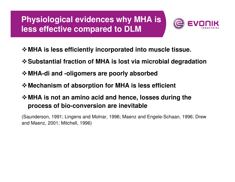# **Physiological evidences why MHA is less effective compared to DLM**



- **MHA is less efficiently incorporated into muscle tissue.**
- **Substantial fraction of MHA is lost via microbial degradation**
- **MHA-di and -oligomers are poorly absorbed**
- **Mechanism of absorption for MHA is less efficient**

### **MHA is not an amino acid and hence, losses during the process of bio-conversion are inevitable**

(Saunderson, 1991; Lingens and Molnar, 1996; Maenz and Engele-Schaan, 1996; Drew and Maenz, 2001; Mitchell, 1996)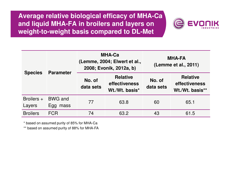**Average relative biological efficacy of MHA-Ca and liquid MHA-FA in broilers and layers on weight-to-weight basis compared to DL-Met**



| <b>Species</b>       | <b>Parameter</b>              |                     | <b>MHA-Ca</b><br>(Lemme, 2004; Elwert et al.,<br>2008; Evonik, 2012a, b) | <b>MHA-FA</b><br>(Lemme et al., 2011) |                                                     |  |
|----------------------|-------------------------------|---------------------|--------------------------------------------------------------------------|---------------------------------------|-----------------------------------------------------|--|
|                      |                               | No. of<br>data sets | <b>Relative</b><br>effectiveness<br>Wt./Wt. basis*                       | No. of<br>data sets                   | <b>Relative</b><br>effectiveness<br>Wt./Wt. basis** |  |
| Broilers +<br>Layers | <b>BWG and</b><br>Egg<br>mass | 77                  | 63.8                                                                     | 60                                    | 65.1                                                |  |
| <b>Broilers</b>      | <b>FCR</b>                    | 74                  | 63.2                                                                     | 43                                    | 61.5                                                |  |

\* based on assumed purity of 85% for MHA-Ca

\*\* based on assumed purity of 88% for MHA-FA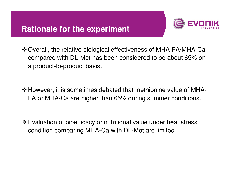## **Rationale for the experiment**



- Overall, the relative biological effectiveness of MHA-FA/MHA-Ca compared with DL-Met has been considered to be about 65% on a product-to-product basis.
- However, it is sometimes debated that methionine value of MHA-FA or MHA-Ca are higher than 65% during summer conditions.
- Evaluation of bioefficacy or nutritional value under heat stress condition comparing MHA-Ca with DL-Met are limited.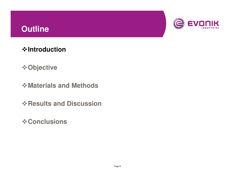# **Outline**



**Introduction**

**Objective**

**Materials and Methods**

**Results and Discussion**

**☆ Conclusions**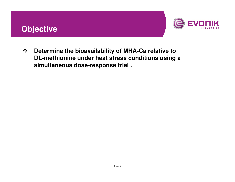# **Objective**



 $\frac{1}{2}$  **Determine the bioavailability of MHA-Ca relative to DL-methionine under heat stress conditions using a simultaneous dose-response trial .**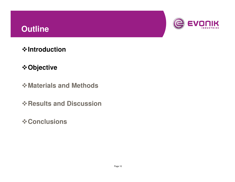# **Outline**



**Introduction**

### **Objective**

- **Materials and Methods**
- **Results and Discussion**
- **☆ Conclusions**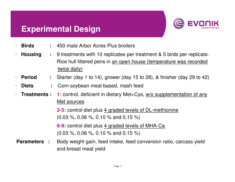### **Experimental Design**



- **Birds :** 450 male Arbor Acres Plus broilers
- - **Housing :** 9 treatments with 10 replicates per treatment & 5 birds per replicate. Rice hull littered pens in an open house (temperature was recorded twice daily)
- **Period :** Starter (day 1 to 14), grower (day 15 to 28), & finisher (day 29 to 42)
- **Diets :** Corn-soybean meal based, mash feed
- **Treatments : 1:** control, deficient in dietary Met+Cys, w/o supplementation of any Met sources

**2-5:** control diet plus 4 graded levels of DL-methionine(0.03 %, 0.06 %, 0.10 % and 0.15 %)

**6-9:** control diet plus 4 graded levels of MHA-Ca(0.03 %, 0.06 %, 0.10 % and 0.15 %)

**Parameters :** Body weight gain, feed intake, feed conversion ratio, carcass yield and breast meat yield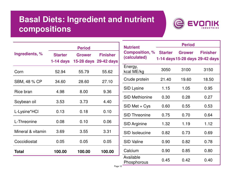# **Basal Diets: Ingredient and nutrient compositions**



| <b>Period</b>  |               |                       |  |  |
|----------------|---------------|-----------------------|--|--|
| <b>Starter</b> | <b>Grower</b> | <b>Finisher</b>       |  |  |
|                |               | 15-28 days 29-42 days |  |  |
| 52.94          | 55.79         | 55.62                 |  |  |
| 34.60<br>28.60 |               | 27.10                 |  |  |
| 4.98           | 8.00          | 9.36                  |  |  |
| 3.53           | 3.73          | 4.40                  |  |  |
| 0.13           | 0.18          | 0.10                  |  |  |
| 0.08           | 0.10          | 0.06                  |  |  |
| 3.69           | 3.55          | 3.31                  |  |  |
| 0.05           | 0.05          | 0.05                  |  |  |
| 100.00         | 100.00        | 100.00                |  |  |
|                |               | 1-14 days             |  |  |

| <b>Nutrient</b>                       | <b>Period</b>  |        |                                                    |  |  |  |
|---------------------------------------|----------------|--------|----------------------------------------------------|--|--|--|
| <b>Composition, %</b><br>(calculated) | <b>Starter</b> | Grower | <b>Finisher</b><br>1-14 days 15-28 days 29-42 days |  |  |  |
| Energy,<br>kcal ME/kg                 | 3050           | 3100   | 3150                                               |  |  |  |
| Crude protein                         | 21.40          | 19.60  | 18.50                                              |  |  |  |
| <b>SID Lysine</b>                     | 1.15           | 1.05   | 0.95                                               |  |  |  |
| <b>SID Methionine</b>                 | 0.30           | 0.28   | 0.27                                               |  |  |  |
| SID Met + Cys                         | 0.60           | 0.55   | 0.53                                               |  |  |  |
| <b>SID Threonine</b>                  | 0.75           | 0.70   | 0.64                                               |  |  |  |
| <b>SID Arginine</b>                   | 1.32           | 1.19   | 1.12                                               |  |  |  |
| <b>SID Isoleucine</b>                 | 0.82           | 0.73   | 0.69                                               |  |  |  |
| <b>SID Valine</b>                     | 0.90           | 0.82   | 0.78                                               |  |  |  |
| Calcium                               | 0.90           | 0.85   | 0.80                                               |  |  |  |
| Available<br>Phosphorous              | 0.45           | 0.42   | 0.40                                               |  |  |  |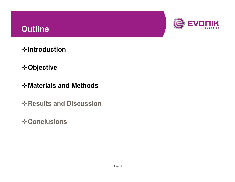# **Outline**



**Introduction**

- **Objective**
- **Materials and Methods**
- **Results and Discussion**
- **☆ Conclusions**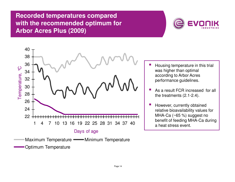#### **Recorded temperatures compared with the recommended optimum for Arbor Acres Plus (2009)**



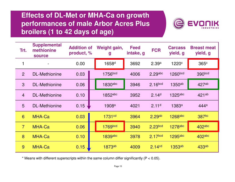### **Effects of DL-Met or MHA-Ca on growth performances of male Arbor Acres Plus broilers (1 to 42 days of age)**



| Trt.           | <b>Supplemental</b><br>methionine<br><b>source</b> | <b>Addition of</b><br>product, % | Weight gain,<br>g  | <b>Feed</b><br>intake, g | <b>FCR</b>          | <b>Carcass</b><br>yield, g | <b>Breast meat</b><br>yield, g |
|----------------|----------------------------------------------------|----------------------------------|--------------------|--------------------------|---------------------|----------------------------|--------------------------------|
|                |                                                    | 0.00                             | 1658 <sup>d</sup>  | 3692                     | 2.39a               | 1220 <sup>c</sup>          | 365c                           |
| 2              | <b>DL-Methionine</b>                               | 0.03                             | 1756bcd            | 4006                     | $2.29$ abc          | 1260bcd                    | 390bcd                         |
| $\mathbf{3}$   | <b>DL-Methionine</b>                               | 0.06                             | 1830abc            | 3946                     | 2.16 <sup>bcd</sup> | 1350 <sup>ab</sup>         | 427 <sup>ab</sup>              |
| $\overline{4}$ | <b>DL-Methionine</b>                               | 0.10                             | 1852abc            | 3952                     | 2.14 <sup>d</sup>   | $1325$ abc                 | 421ab                          |
| 5              | <b>DL-Methionine</b>                               | 0.15                             | 1908 <sup>a</sup>  | 4021                     | 2.11 <sup>d</sup>   | 1383a                      | 444 <sup>a</sup>               |
| 6              | MHA-Ca                                             | 0.03                             | 1731 <sup>cd</sup> | 3964                     | 2.29 <sub>ab</sub>  | 1268abc                    | 387bc                          |
| $\overline{7}$ | MHA-Ca                                             | 0.06                             | 1769bcd            | 3940                     | 2.23bcd             | 1278abc                    | 402abc                         |
| 8              | MHA-Ca                                             | 0.10                             | 1839abc            | 3978                     | 2.17 <sub>bcd</sub> | 1295abc                    | 402abc                         |
| 9              | MHA-Ca                                             | 0.15                             | 1873 <sub>ab</sub> | 4009                     | 2.14 <sup>cd</sup>  | 1353ab                     | 433ab                          |

 $*$  Means with different superscripts within the same column differ significantly ( $P < 0.05$ ).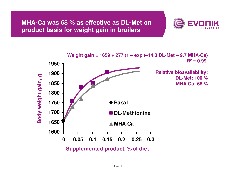**MHA-Ca was 68 % as effective as DL-Met on product basis for weight gain in broilers**



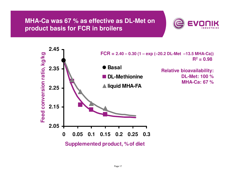#### **MHA-Ca was 67 % as effective as DL-Met on product basis for FCR in broilers**



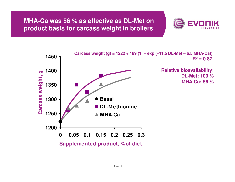#### **MHA-Ca was 56 % as effective as DL-Met on product basis for carcass weight in broilers**



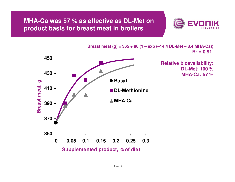#### **MHA-Ca was 57 % as effective as DL-Met on product basis for breast meat in broilers**





**Breast meat (g) = 365 + 86 (1 – exp (–14.4 DL-Met – 8.4 MHA-Ca))**

Page 19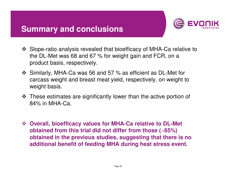## **Summary and conclusions**



- Slope-ratio analysis revealed that bioefficacy of MHA-Ca relative to<br>the DL Met was 68 and 67.% for woight gain and ECP, on a the DL-Met was 68 and 67 % for weight gain and FCR, on a product basis, respectively.
- Similarly, MHA-Ca was 56 and 57 % as efficient as DL-Met for<br>earcase woight and broast moat viold respectively, an woight to carcass weight and breast meat yield, respectively, on weight to weight basis.
- These estimates are significantly lower than the active portion of<br>84% in MHA Ca 84% in MHA-Ca.
- **Overall, bioefficacy values for MHA-Ca relative to DL-Met obtained from this trial did not differ from those (~65%) obtained in the previous studies, suggesting that there is no additional benefit of feeding MHA during heat stress event.**